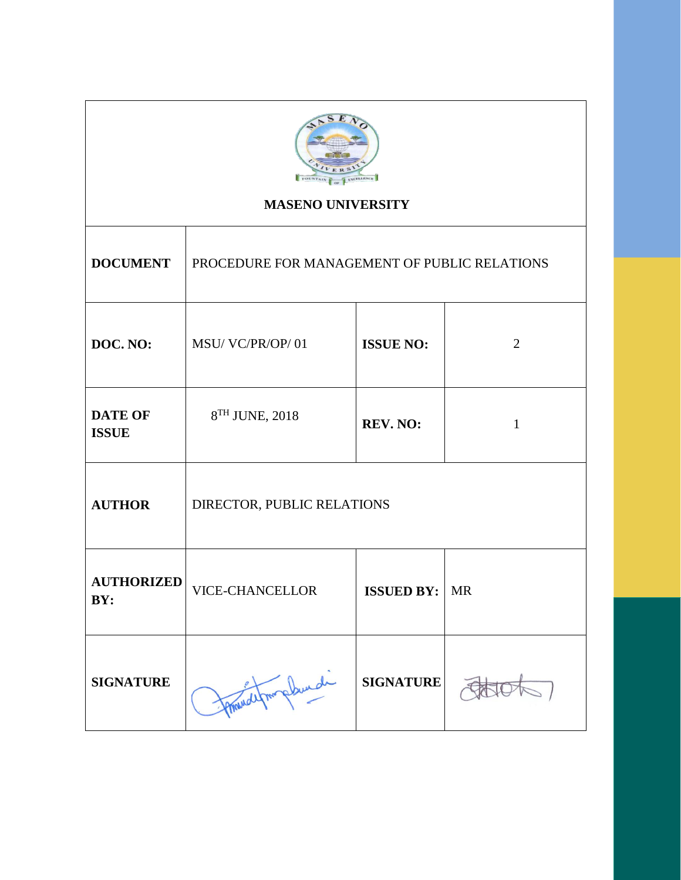

# **MASENO UNIVERSITY**

┱

| <b>DOCUMENT</b>                | PROCEDURE FOR MANAGEMENT OF PUBLIC RELATIONS |                   |                |  |
|--------------------------------|----------------------------------------------|-------------------|----------------|--|
| DOC. NO:                       | MSU/VC/PR/OP/01                              | <b>ISSUE NO:</b>  | $\overline{2}$ |  |
| <b>DATE OF</b><br><b>ISSUE</b> | 8 <sup>TH</sup> JUNE, 2018                   | REV. NO:          | $\mathbf{1}$   |  |
| <b>AUTHOR</b>                  | DIRECTOR, PUBLIC RELATIONS                   |                   |                |  |
| <b>AUTHORIZED</b><br>BY:       | <b>VICE-CHANCELLOR</b>                       | <b>ISSUED BY:</b> | <b>MR</b>      |  |
| <b>SIGNATURE</b>               | plunde                                       | <b>SIGNATURE</b>  |                |  |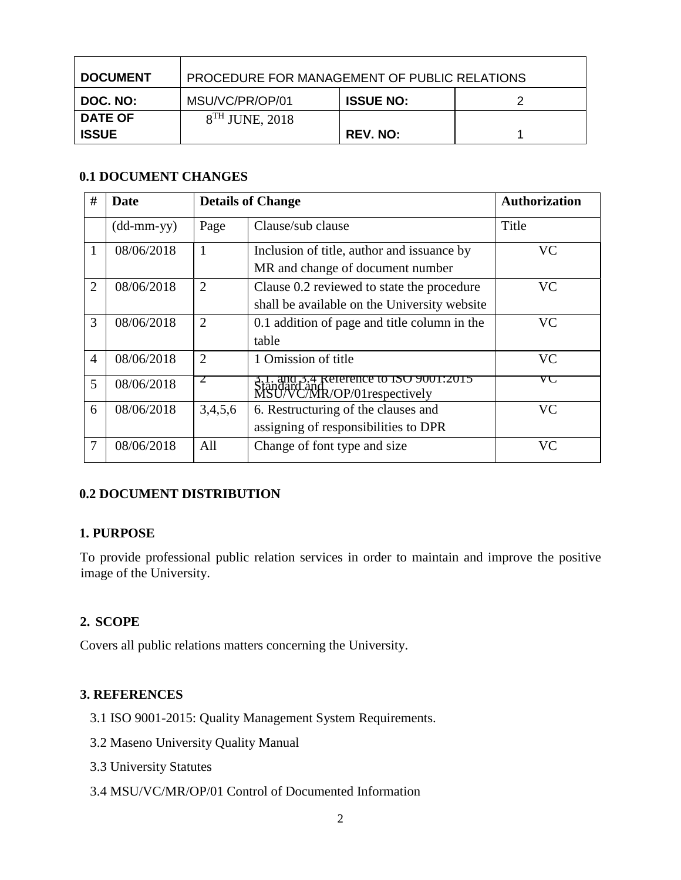| <b>DOCUMENT</b> | PROCEDURE FOR MANAGEMENT OF PUBLIC RELATIONS |                  |  |  |
|-----------------|----------------------------------------------|------------------|--|--|
| DOC. NO:        | MSU/VC/PR/OP/01                              | <b>ISSUE NO:</b> |  |  |
| <b>DATE OF</b>  | $8TH$ JUNE, 2018                             |                  |  |  |
| <b>ISSUE</b>    |                                              | <b>REV. NO:</b>  |  |  |

## **0.1 DOCUMENT CHANGES**

| #              | Date                       | <b>Details of Change</b> |                                                                                            | <b>Authorization</b> |
|----------------|----------------------------|--------------------------|--------------------------------------------------------------------------------------------|----------------------|
|                | $(dd\text{-}mm\text{-}yy)$ | Page                     | Clause/sub clause                                                                          | Title                |
|                | 08/06/2018                 | 1                        | Inclusion of title, author and issuance by<br>MR and change of document number             | <b>VC</b>            |
| 2              | 08/06/2018                 | $\overline{2}$           | Clause 0.2 reviewed to state the procedure<br>shall be available on the University website | <b>VC</b>            |
| 3              | 08/06/2018                 | $\overline{2}$           | 0.1 addition of page and title column in the<br>table                                      | <b>VC</b>            |
| $\overline{4}$ | 08/06/2018                 | $\overline{2}$           | 1 Omission of title                                                                        | <b>VC</b>            |
| 5              | 08/06/2018                 | $\angle$                 | 3.1. and 5.4 Reference to ISO 9001:2015<br>Standard and<br>MSU/VC/MR/OP/01respectively     | VU                   |
| 6              | 08/06/2018                 | 3,4,5,6                  | 6. Restructuring of the clauses and<br>assigning of responsibilities to DPR                | <b>VC</b>            |
| 7              | 08/06/2018                 | All                      | Change of font type and size                                                               | <b>VC</b>            |

## **0.2 DOCUMENT DISTRIBUTION**

## **1. PURPOSE**

To provide professional public relation services in order to maintain and improve the positive image of the University.

## **2. SCOPE**

Covers all public relations matters concerning the University.

## **3. REFERENCES**

- 3.1 ISO 9001-2015: Quality Management System Requirements.
- 3.2 Maseno University Quality Manual
- 3.3 University Statutes
- 3.4 MSU/VC/MR/OP/01 Control of Documented Information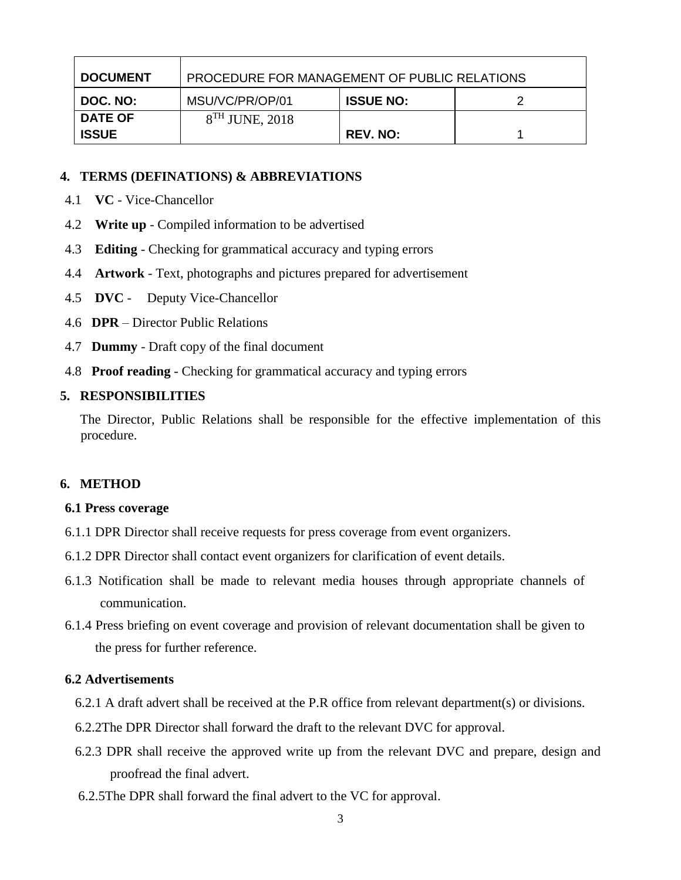| <b>DOCUMENT</b> | PROCEDURE FOR MANAGEMENT OF PUBLIC RELATIONS |                  |  |  |
|-----------------|----------------------------------------------|------------------|--|--|
| DOC. NO:        | MSU/VC/PR/OP/01                              | <b>ISSUE NO:</b> |  |  |
| <b>DATE OF</b>  | $8TH$ JUNE, 2018                             |                  |  |  |
| <b>ISSUE</b>    |                                              | <b>REV. NO:</b>  |  |  |

#### **4. TERMS (DEFINATIONS) & ABBREVIATIONS**

- 4.1 **VC** Vice-Chancellor
- 4.2 **Write up** Compiled information to be advertised
- 4.3 **Editing**  Checking for grammatical accuracy and typing errors
- 4.4 **Artwork**  Text, photographs and pictures prepared for advertisement
- 4.5 **DVC** Deputy Vice-Chancellor
- 4.6 **DPR** Director Public Relations
- 4.7 **Dummy**  Draft copy of the final document
- 4.8 **Proof reading** Checking for grammatical accuracy and typing errors

#### **5. RESPONSIBILITIES**

The Director, Public Relations shall be responsible for the effective implementation of this procedure.

#### **6. METHOD**

#### **6.1 Press coverage**

- 6.1.1 DPR Director shall receive requests for press coverage from event organizers.
- 6.1.2 DPR Director shall contact event organizers for clarification of event details.
- 6.1.3 Notification shall be made to relevant media houses through appropriate channels of communication.
- 6.1.4 Press briefing on event coverage and provision of relevant documentation shall be given to the press for further reference.

#### **6.2 Advertisements**

- 6.2.1 A draft advert shall be received at the P.R office from relevant department(s) or divisions.
- 6.2.2The DPR Director shall forward the draft to the relevant DVC for approval.
- 6.2.3 DPR shall receive the approved write up from the relevant DVC and prepare, design and proofread the final advert.
- 6.2.5The DPR shall forward the final advert to the VC for approval.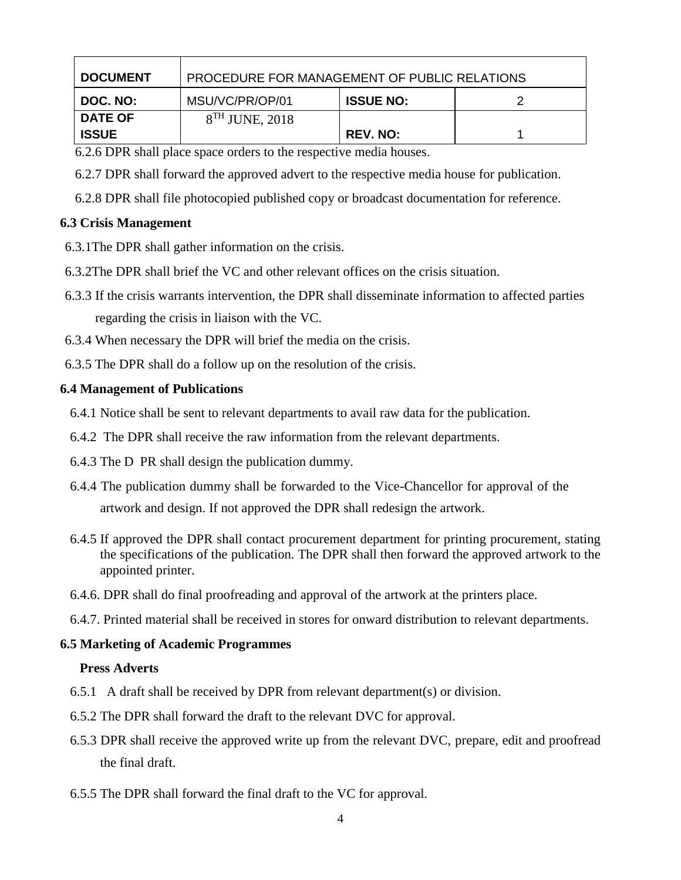| <b>DOCUMENT</b> | PROCEDURE FOR MANAGEMENT OF PUBLIC RELATIONS |                  |  |  |
|-----------------|----------------------------------------------|------------------|--|--|
| DOC. NO:        | MSU/VC/PR/OP/01                              | <b>ISSUE NO:</b> |  |  |
| <b>DATE OF</b>  | $8TH$ JUNE, 2018                             |                  |  |  |
| <b>ISSUE</b>    |                                              | <b>REV. NO:</b>  |  |  |

6.2.6 DPR shall place space orders to the respective media houses.

- 6.2.7 DPR shall forward the approved advert to the respective media house for publication.
- 6.2.8 DPR shall file photocopied published copy or broadcast documentation for reference.

#### **6.3 Crisis Management**

- 6.3.1The DPR shall gather information on the crisis.
- 6.3.2The DPR shall brief the VC and other relevant offices on the crisis situation.
- 6.3.3 If the crisis warrants intervention, the DPR shall disseminate information to affected parties regarding the crisis in liaison with the VC.
- 6.3.4 When necessary the DPR will brief the media on the crisis.
- 6.3.5 The DPR shall do a follow up on the resolution of the crisis.

#### **6.4 Management of Publications**

- 6.4.1 Notice shall be sent to relevant departments to avail raw data for the publication.
- 6.4.2 The DPR shall receive the raw information from the relevant departments.
- 6.4.3 The D PR shall design the publication dummy.
- 6.4.4 The publication dummy shall be forwarded to the Vice-Chancellor for approval of the artwork and design. If not approved the DPR shall redesign the artwork.
- 6.4.5 If approved the DPR shall contact procurement department for printing procurement, stating the specifications of the publication. The DPR shall then forward the approved artwork to the appointed printer.
- 6.4.6. DPR shall do final proofreading and approval of the artwork at the printers place.
- 6.4.7. Printed material shall be received in stores for onward distribution to relevant departments.

#### **6.5 Marketing of Academic Programmes**

#### **Press Adverts**

- 6.5.1 A draft shall be received by DPR from relevant department(s) or division.
- 6.5.2 The DPR shall forward the draft to the relevant DVC for approval.
- 6.5.3 DPR shall receive the approved write up from the relevant DVC, prepare, edit and proofread the final draft.
- 6.5.5 The DPR shall forward the final draft to the VC for approval.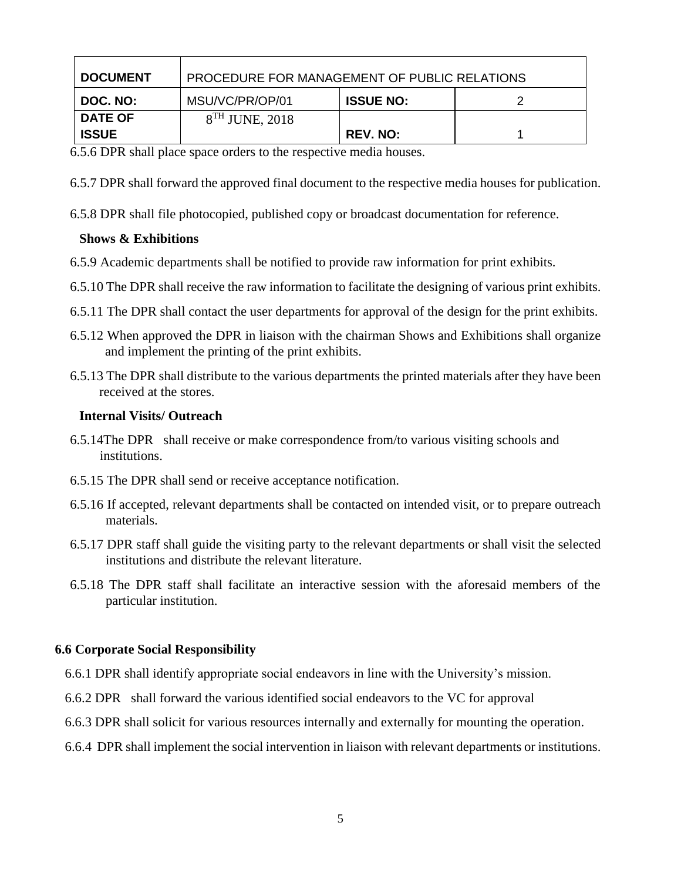| <b>DOCUMENT</b> | PROCEDURE FOR MANAGEMENT OF PUBLIC RELATIONS |                  |  |  |
|-----------------|----------------------------------------------|------------------|--|--|
| DOC. NO:        | MSU/VC/PR/OP/01                              | <b>ISSUE NO:</b> |  |  |
| <b>DATE OF</b>  | $8TH$ JUNE, 2018                             |                  |  |  |
| <b>ISSUE</b>    |                                              | <b>REV. NO:</b>  |  |  |

6.5.6 DPR shall place space orders to the respective media houses.

6.5.7 DPR shall forward the approved final document to the respective media houses for publication.

6.5.8 DPR shall file photocopied, published copy or broadcast documentation for reference.

### **Shows & Exhibitions**

- 6.5.9 Academic departments shall be notified to provide raw information for print exhibits.
- 6.5.10 The DPR shall receive the raw information to facilitate the designing of various print exhibits.
- 6.5.11 The DPR shall contact the user departments for approval of the design for the print exhibits.
- 6.5.12 When approved the DPR in liaison with the chairman Shows and Exhibitions shall organize and implement the printing of the print exhibits.
- 6.5.13 The DPR shall distribute to the various departments the printed materials after they have been received at the stores.

#### **Internal Visits/ Outreach**

- 6.5.14The DPR shall receive or make correspondence from/to various visiting schools and institutions.
- 6.5.15 The DPR shall send or receive acceptance notification.
- 6.5.16 If accepted, relevant departments shall be contacted on intended visit, or to prepare outreach materials.
- 6.5.17 DPR staff shall guide the visiting party to the relevant departments or shall visit the selected institutions and distribute the relevant literature.
- 6.5.18 The DPR staff shall facilitate an interactive session with the aforesaid members of the particular institution.

#### **6.6 Corporate Social Responsibility**

- 6.6.1 DPR shall identify appropriate social endeavors in line with the University's mission.
- 6.6.2 DPR shall forward the various identified social endeavors to the VC for approval
- 6.6.3 DPR shall solicit for various resources internally and externally for mounting the operation.
- 6.6.4 DPR shall implement the social intervention in liaison with relevant departments or institutions.